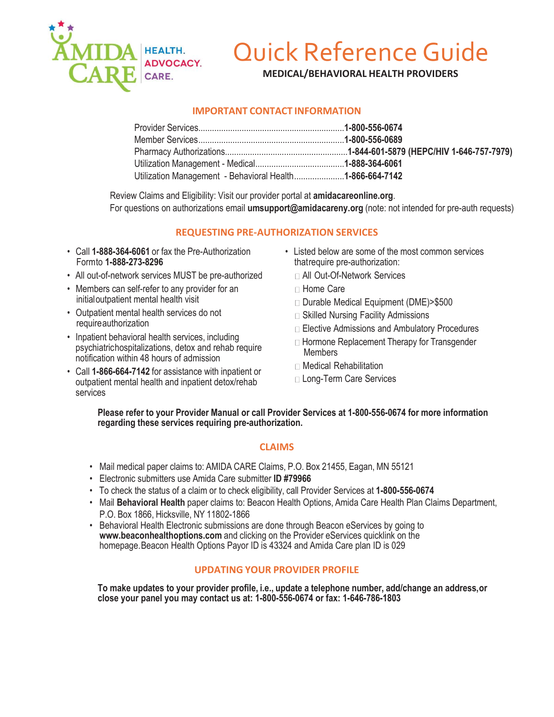

## Quick Reference Guide

**MEDICAL/BEHAVIORAL HEALTH PROVIDERS**

## **IMPORTANT CONTACT INFORMATION**

| Utilization Management - Behavioral Health1-866-664-7142 |  |
|----------------------------------------------------------|--|

Review Claims and Eligibility: Visit our provider portal at **amidacareonline.org**. For questions on authorizations email **[umsupport@amidacareny.org](mailto:umsupport@amidacareny.org)** (note: not intended for pre-auth requests)

## **REQUESTING PRE-AUTHORIZATION SERVICES**

- Call **1-888-364-6061** or fax the Pre-Authorization Formto **1-888-273-8296**
- All out-of-network services MUST be pre-authorized
- Members can self-refer to any provider for an initialoutpatient mental health visit
- Outpatient mental health services do not requireauthorization
- Inpatient behavioral health services, including psychiatrichospitalizations, detox and rehab require notification within 48 hours of admission
- Call **1-866-664-7142** for assistance with inpatient or outpatient mental health and inpatient detox/rehab services
- Listed below are some of the most common services thatrequire pre-authorization:
	- All Out-Of-Network Services
	- □ Home Care
	- □ Durable Medical Equipment (DME)>\$500
	- □ Skilled Nursing Facility Admissions
	- □ Elective Admissions and Ambulatory Procedures
	- □ Hormone Replacement Therapy for Transgender **Members**
	- □ Medical Rehabilitation
	- □ Long-Term Care Services

**Please refer to your Provider Manual or call Provider Services at 1-800-556-0674 for more information regarding these services requiring pre-authorization.**

## **CLAIMS**

- Mail medical paper claims to: AMIDA CARE Claims, P.O. Box 21455, Eagan, MN 55121
- Electronic submitters use Amida Care submitter **ID #79966**
- To check the status of a claim or to check eligibility, call Provider Services at **1-800-556-0674**
- Mail **Behavioral Health** paper claims to: Beacon Health Options, Amida Care Health Plan Claims Department, P.O. Box 1866, Hicksville, NY 11802-1866
- Behavioral Health Electronic submissions are done through Beacon eServices by going to **[www.beaconhealthoptions.com](http://www.beaconhealthoptions.com/)** and clicking on the Provider eServices quicklink on the homepage.Beacon Health Options Payor ID is 43324 and Amida Care plan ID is 029

## **UPDATING YOUR PROVIDER PROFILE**

**To make updates to your provider profile, i.e., update a telephone number, add/change an address,or close your panel you may contact us at: 1-800-556-0674 or fax: 1-646-786-1803**